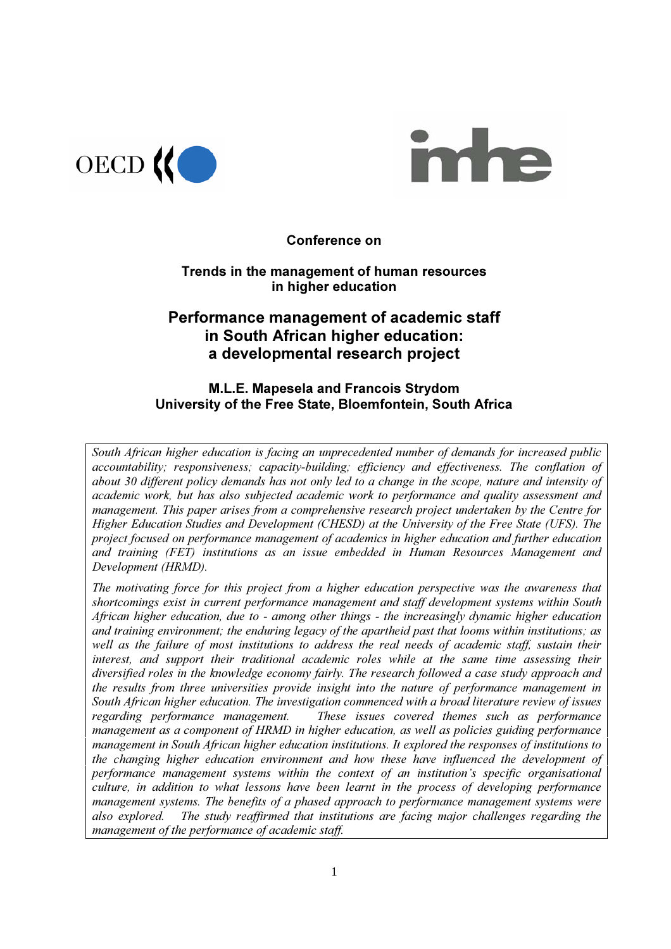



## **Conference on**

## Trends in the management of human resources in higher education

# Performance management of academic staff in South African higher education: a developmental research project

## **M.L.E. Mapesela and Francois Strydom** University of the Free State, Bloemfontein, South Africa

South African higher education is facing an unprecedented number of demands for increased public accountability; responsiveness; capacity-building; efficiency and effectiveness. The conflation of about 30 different policy demands has not only led to a change in the scope, nature and intensity of academic work, but has also subjected academic work to performance and quality assessment and management. This paper arises from a comprehensive research project undertaken by the Centre for Higher Education Studies and Development (CHESD) at the University of the Free State (UFS). The project focused on performance management of academics in higher education and further education and training (FET) institutions as an issue embedded in Human Resources Management and Development (HRMD).

The motivating force for this project from a higher education perspective was the awareness that shortcomings exist in current performance management and staff development systems within South African higher education, due to - among other things - the increasingly dynamic higher education and training environment; the enduring legacy of the apartheid past that looms within institutions; as well as the failure of most institutions to address the real needs of academic staff, sustain their interest, and support their traditional academic roles while at the same time assessing their diversified roles in the knowledge economy fairly. The research followed a case study approach and the results from three universities provide insight into the nature of performance management in South African higher education. The investigation commenced with a broad literature review of issues regarding performance management. These issues covered themes such as performance management as a component of HRMD in higher education, as well as policies guiding performance management in South African higher education institutions. It explored the responses of institutions to the changing higher education environment and how these have influenced the development of performance management systems within the context of an institution's specific organisational culture, in addition to what lessons have been learnt in the process of developing performance management systems. The benefits of a phased approach to performance management systems were The study reaffirmed that institutions are facing major challenges regarding the also explored. management of the performance of academic staff.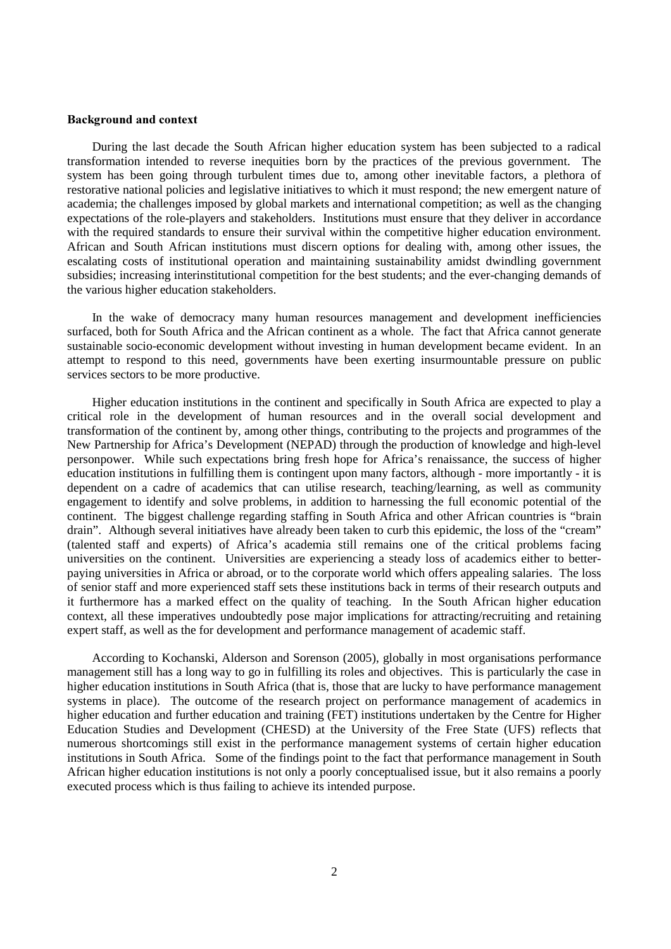#### **Background and context**

During the last decade the South African higher education system has been subjected to a radical transformation intended to reverse inequities born by the practices of the previous government. The system has been going through turbulent times due to, among other inevitable factors, a plethora of restorative national policies and legislative initiatives to which it must respond; the new emergent nature of academia; the challenges imposed by global markets and international competition; as well as the changing expectations of the role-players and stakeholders. Institutions must ensure that they deliver in accordance with the required standards to ensure their survival within the competitive higher education environment. African and South African institutions must discern options for dealing with, among other issues, the escalating costs of institutional operation and maintaining sustainability amidst dwindling government subsidies; increasing interinstitutional competition for the best students; and the ever-changing demands of the various higher education stakeholders.

In the wake of democracy many human resources management and development inefficiencies surfaced, both for South Africa and the African continent as a whole. The fact that Africa cannot generate sustainable socio-economic development without investing in human development became evident. In an attempt to respond to this need, governments have been exerting insurmountable pressure on public services sectors to be more productive.

Higher education institutions in the continent and specifically in South Africa are expected to play a critical role in the development of human resources and in the overall social development and transformation of the continent by, among other things, contributing to the projects and programmes of the New Partnership for Africa's Development (NEPAD) through the production of knowledge and high-level personpower. While such expectations bring fresh hope for Africa's renaissance, the success of higher education institutions in fulfilling them is contingent upon many factors, although - more importantly - it is dependent on a cadre of academics that can utilise research, teaching/learning, as well as community engagement to identify and solve problems, in addition to harnessing the full economic potential of the continent. The biggest challenge regarding staffing in South Africa and other African countries is "brain drain". Although several initiatives have already been taken to curb this epidemic, the loss of the "cream" (talented staff and experts) of Africa's academia still remains one of the critical problems facing universities on the continent. Universities are experiencing a steady loss of academics either to betterpaying universities in Africa or abroad, or to the corporate world which offers appealing salaries. The loss of senior staff and more experienced staff sets these institutions back in terms of their research outputs and it furthermore has a marked effect on the quality of teaching. In the South African higher education context, all these imperatives undoubtedly pose major implications for attracting/recruiting and retaining expert staff, as well as the for development and performance management of academic staff.

According to Kochanski, Alderson and Sorenson (2005), globally in most organisations performance management still has a long way to go in fulfilling its roles and objectives. This is particularly the case in higher education institutions in South Africa (that is, those that are lucky to have performance management systems in place). The outcome of the research project on performance management of academics in higher education and further education and training (FET) institutions undertaken by the Centre for Higher Education Studies and Development (CHESD) at the University of the Free State (UFS) reflects that numerous shortcomings still exist in the performance management systems of certain higher education institutions in South Africa. Some of the findings point to the fact that performance management in South African higher education institutions is not only a poorly conceptualised issue, but it also remains a poorly executed process which is thus failing to achieve its intended purpose.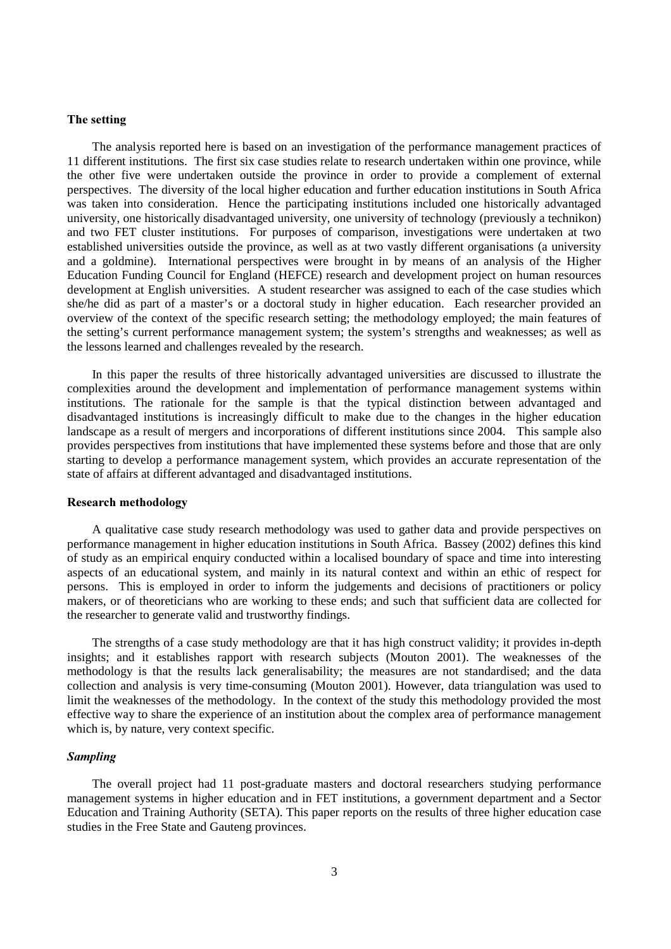#### The setting

The analysis reported here is based on an investigation of the performance management practices of 11 different institutions. The first six case studies relate to research undertaken within one province, while the other five were undertaken outside the province in order to provide a complement of external perspectives. The diversity of the local higher education and further education institutions in South Africa was taken into consideration. Hence the participating institutions included one historically advantaged university, one historically disadvantaged university, one university of technology (previously a technikon) and two FET cluster institutions. For purposes of comparison, investigations were undertaken at two established universities outside the province, as well as at two vastly different organisations (a university and a goldmine). International perspectives were brought in by means of an analysis of the Higher Education Funding Council for England (HEFCE) research and development project on human resources development at English universities. A student researcher was assigned to each of the case studies which she/he did as part of a master's or a doctoral study in higher education. Each researcher provided an overview of the context of the specific research setting; the methodology employed; the main features of the setting's current performance management system; the system's strengths and weaknesses; as well as the lessons learned and challenges revealed by the research.

In this paper the results of three historically advantaged universities are discussed to illustrate the complexities around the development and implementation of performance management systems within institutions. The rationale for the sample is that the typical distinction between advantaged and disadvantaged institutions is increasingly difficult to make due to the changes in the higher education landscape as a result of mergers and incorporations of different institutions since 2004. This sample also provides perspectives from institutions that have implemented these systems before and those that are only starting to develop a performance management system, which provides an accurate representation of the state of affairs at different advantaged and disadvantaged institutions.

#### **Research methodology**

A qualitative case study research methodology was used to gather data and provide perspectives on performance management in higher education institutions in South Africa. Bassey (2002) defines this kind of study as an empirical enquiry conducted within a localised boundary of space and time into interesting aspects of an educational system, and mainly in its natural context and within an ethic of respect for persons. This is employed in order to inform the judgements and decisions of practitioners or policy makers, or of theoreticians who are working to these ends; and such that sufficient data are collected for the researcher to generate valid and trustworthy findings.

The strengths of a case study methodology are that it has high construct validity; it provides in-depth insights; and it establishes rapport with research subjects (Mouton 2001). The weaknesses of the methodology is that the results lack generalisability; the measures are not standardised; and the data collection and analysis is very time-consuming (Mouton 2001). However, data triangulation was used to limit the weaknesses of the methodology. In the context of the study this methodology provided the most effective way to share the experience of an institution about the complex area of performance management which is, by nature, very context specific.

#### *Sampling*

The overall project had 11 post-graduate masters and doctoral researchers studying performance management systems in higher education and in FET institutions, a government department and a Sector Education and Training Authority (SETA). This paper reports on the results of three higher education case studies in the Free State and Gauteng provinces.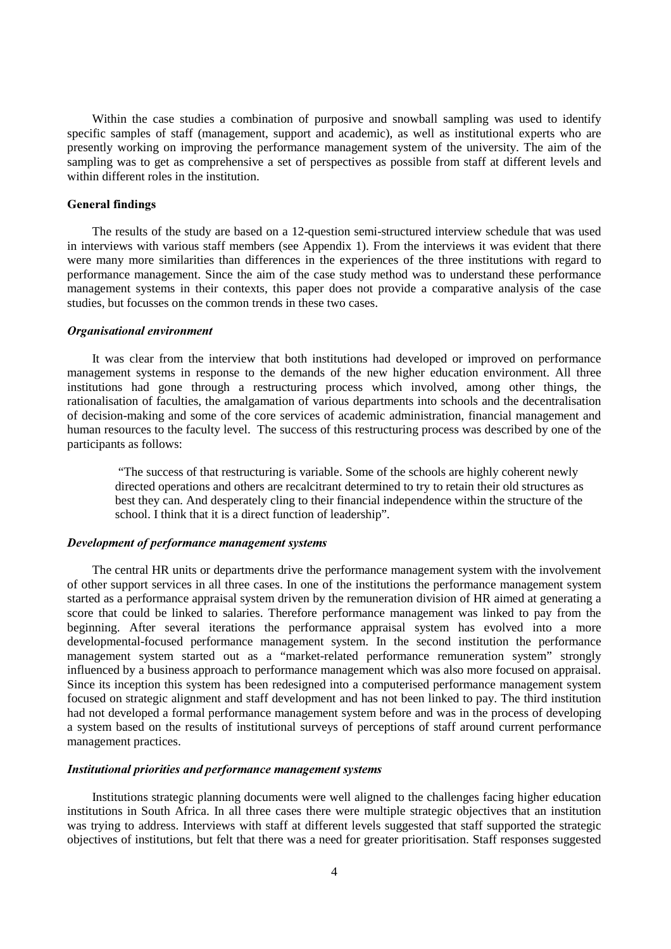Within the case studies a combination of purposive and snowball sampling was used to identify specific samples of staff (management, support and academic), as well as institutional experts who are presently working on improving the performance management system of the university. The aim of the sampling was to get as comprehensive a set of perspectives as possible from staff at different levels and within different roles in the institution.

#### **General findings**

The results of the study are based on a 12-question semi-structured interview schedule that was used in interviews with various staff members (see Appendix 1). From the interviews it was evident that there were many more similarities than differences in the experiences of the three institutions with regard to performance management. Since the aim of the case study method was to understand these performance management systems in their contexts, this paper does not provide a comparative analysis of the case studies, but focusses on the common trends in these two cases.

#### $O$ rganisational environment

It was clear from the interview that both institutions had developed or improved on performance management systems in response to the demands of the new higher education environment. All three institutions had gone through a restructuring process which involved, among other things, the rationalisation of faculties, the amalgamation of various departments into schools and the decentralisation of decision-making and some of the core services of academic administration, financial management and human resources to the faculty level. The success of this restructuring process was described by one of the participants as follows:

 "The success of that restructuring is variable. Some of the schools are highly coherent newly directed operations and others are recalcitrant determined to try to retain their old structures as best they can. And desperately cling to their financial independence within the structure of the school. I think that it is a direct function of leadership".

#### Development of performance management systems

The central HR units or departments drive the performance management system with the involvement of other support services in all three cases. In one of the institutions the performance management system started as a performance appraisal system driven by the remuneration division of HR aimed at generating a score that could be linked to salaries. Therefore performance management was linked to pay from the beginning. After several iterations the performance appraisal system has evolved into a more developmental-focused performance management system. In the second institution the performance management system started out as a "market-related performance remuneration system" strongly influenced by a business approach to performance management which was also more focused on appraisal. Since its inception this system has been redesigned into a computerised performance management system focused on strategic alignment and staff development and has not been linked to pay. The third institution had not developed a formal performance management system before and was in the process of developing a system based on the results of institutional surveys of perceptions of staff around current performance management practices.

#### *Institutional priorities and performance management systems*

Institutions strategic planning documents were well aligned to the challenges facing higher education institutions in South Africa. In all three cases there were multiple strategic objectives that an institution was trying to address. Interviews with staff at different levels suggested that staff supported the strategic objectives of institutions, but felt that there was a need for greater prioritisation. Staff responses suggested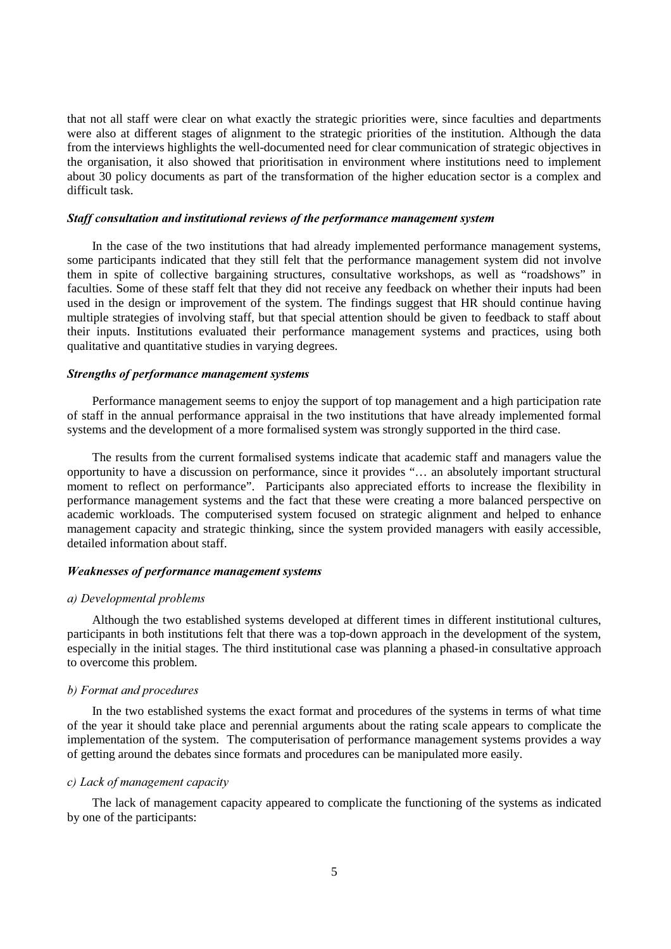that not all staff were clear on what exactly the strategic priorities were, since faculties and departments were also at different stages of alignment to the strategic priorities of the institution. Although the data from the interviews highlights the well-documented need for clear communication of strategic objectives in the organisation, it also showed that prioritisation in environment where institutions need to implement about 30 policy documents as part of the transformation of the higher education sector is a complex and difficult task.

#### Staff consultation and institutional reviews of the performance management system

In the case of the two institutions that had already implemented performance management systems, some participants indicated that they still felt that the performance management system did not involve them in spite of collective bargaining structures, consultative workshops, as well as "roadshows" in faculties. Some of these staff felt that they did not receive any feedback on whether their inputs had been used in the design or improvement of the system. The findings suggest that HR should continue having multiple strategies of involving staff, but that special attention should be given to feedback to staff about their inputs. Institutions evaluated their performance management systems and practices, using both qualitative and quantitative studies in varying degrees.

#### Strengths of performance management systems

Performance management seems to enjoy the support of top management and a high participation rate of staff in the annual performance appraisal in the two institutions that have already implemented formal systems and the development of a more formalised system was strongly supported in the third case.

The results from the current formalised systems indicate that academic staff and managers value the opportunity to have a discussion on performance, since it provides "… an absolutely important structural moment to reflect on performance". Participants also appreciated efforts to increase the flexibility in performance management systems and the fact that these were creating a more balanced perspective on academic workloads. The computerised system focused on strategic alignment and helped to enhance management capacity and strategic thinking, since the system provided managers with easily accessible, detailed information about staff.

#### *Weaknesses of performance management systems*

#### a) Developmental problems

Although the two established systems developed at different times in different institutional cultures, participants in both institutions felt that there was a top-down approach in the development of the system, especially in the initial stages. The third institutional case was planning a phased-in consultative approach to overcome this problem.

#### b) Format and procedures

In the two established systems the exact format and procedures of the systems in terms of what time of the year it should take place and perennial arguments about the rating scale appears to complicate the implementation of the system. The computerisation of performance management systems provides a way of getting around the debates since formats and procedures can be manipulated more easily.

#### c) Lack of management capacity

The lack of management capacity appeared to complicate the functioning of the systems as indicated by one of the participants: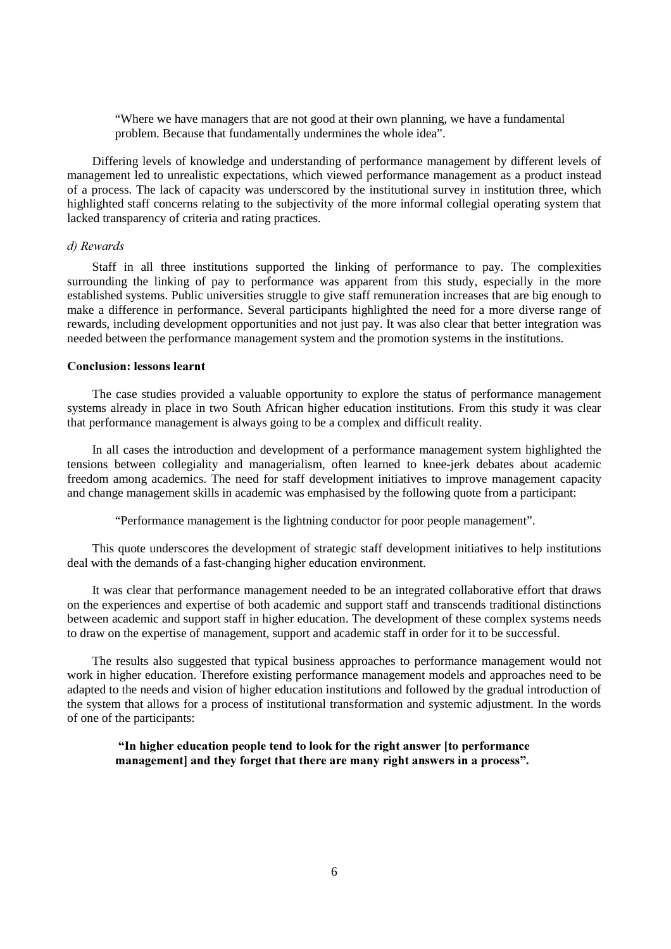"Where we have managers that are not good at their own planning, we have a fundamental problem. Because that fundamentally undermines the whole idea".

Differing levels of knowledge and understanding of performance management by different levels of management led to unrealistic expectations, which viewed performance management as a product instead of a process. The lack of capacity was underscored by the institutional survey in institution three, which highlighted staff concerns relating to the subjectivity of the more informal collegial operating system that lacked transparency of criteria and rating practices.

#### d) Rewards

Staff in all three institutions supported the linking of performance to pay. The complexities surrounding the linking of pay to performance was apparent from this study, especially in the more established systems. Public universities struggle to give staff remuneration increases that are big enough to make a difference in performance. Several participants highlighted the need for a more diverse range of rewards, including development opportunities and not just pay. It was also clear that better integration was needed between the performance management system and the promotion systems in the institutions.

#### **Conclusion: lessons learnt**

The case studies provided a valuable opportunity to explore the status of performance management systems already in place in two South African higher education institutions. From this study it was clear that performance management is always going to be a complex and difficult reality.

In all cases the introduction and development of a performance management system highlighted the tensions between collegiality and managerialism, often learned to knee-jerk debates about academic freedom among academics. The need for staff development initiatives to improve management capacity and change management skills in academic was emphasised by the following quote from a participant:

"Performance management is the lightning conductor for poor people management".

This quote underscores the development of strategic staff development initiatives to help institutions deal with the demands of a fast-changing higher education environment.

It was clear that performance management needed to be an integrated collaborative effort that draws on the experiences and expertise of both academic and support staff and transcends traditional distinctions between academic and support staff in higher education. The development of these complex systems needs to draw on the expertise of management, support and academic staff in order for it to be successful.

The results also suggested that typical business approaches to performance management would not work in higher education. Therefore existing performance management models and approaches need to be adapted to the needs and vision of higher education institutions and followed by the gradual introduction of the system that allows for a process of institutional transformation and systemic adjustment. In the words of one of the participants:

"In higher education people tend to look for the right answer [to performance management] and they forget that there are many right answers in a process".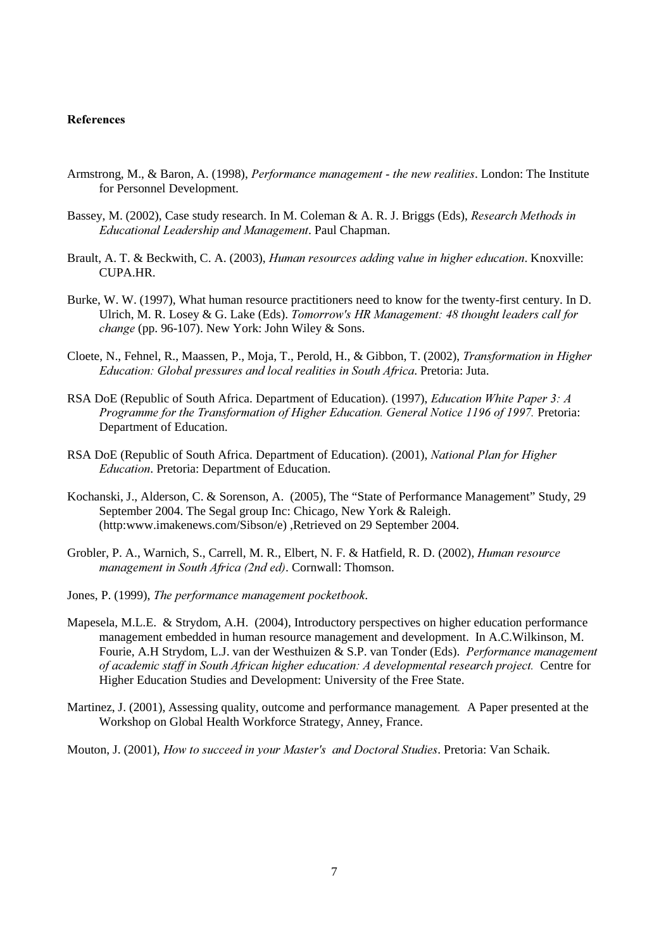#### **References**

- Armstrong, M., & Baron, A. (1998), Performance management the new realities. London: The Institute for Personnel Development.
- Bassey, M. (2002), Case study research. In M. Coleman & A. R. J. Briggs (Eds), Research Methods in Educational Leadership and Management, Paul Chapman.
- Brault, A. T. & Beckwith, C. A. (2003), Human resources adding value in higher education. Knoxville: CUPA.HR.
- Burke, W. W. (1997), What human resource practitioners need to know for the twenty-first century. In D. Ulrich, M. R. Losey & G. Lake (Eds). Tomorrow's HR Management: 48 thought leaders call for *change* (pp. 96-107). New York: John Wiley & Sons.
- Cloete, N., Fehnel, R., Maassen, P., Moja, T., Perold, H., & Gibbon, T. (2002), Transformation in Higher Education: Global pressures and local realities in South Africa. Pretoria: Juta.
- RSA DoE (Republic of South Africa. Department of Education). (1997), *Education White Paper 3: A* Programme for the Transformation of Higher Education. General Notice 1196 of 1997. Pretoria: Department of Education.
- RSA DoE (Republic of South Africa. Department of Education). (2001), National Plan for Higher Education. Pretoria: Department of Education.
- Kochanski, J., Alderson, C. & Sorenson, A. (2005), The "State of Performance Management" Study, 29 September 2004. The Segal group Inc: Chicago, New York & Raleigh. (http:www.imakenews.com/Sibson/e), Retrieved on 29 September 2004.
- Grobler, P. A., Warnich, S., Carrell, M. R., Elbert, N. F. & Hatfield, R. D. (2002), *Human resource* management in South Africa (2nd ed). Cornwall: Thomson.
- Jones, P. (1999), The performance management pocketbook.
- Mapesela, M.L.E. & Strydom, A.H. (2004), Introductory perspectives on higher education performance management embedded in human resource management and development. In A.C. Wilkinson, M. Fourie, A.H Strydom, L.J. van der Westhuizen & S.P. van Tonder (Eds). Performance management of academic staff in South African higher education: A developmental research project. Centre for Higher Education Studies and Development: University of the Free State.
- Martinez, J. (2001), Assessing quality, outcome and performance management. A Paper presented at the Workshop on Global Health Workforce Strategy, Anney, France.
- Mouton, J. (2001), How to succeed in your Master's and Doctoral Studies. Pretoria: Van Schaik.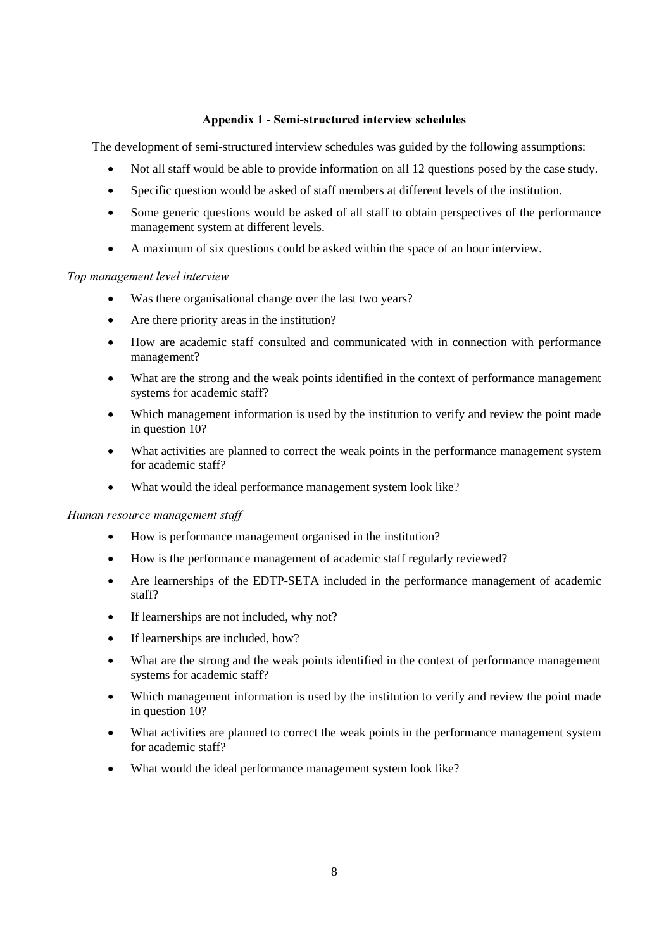### Appendix 1 - Semi-structured interview schedules

The development of semi-structured interview schedules was guided by the following assumptions:

- Not all staff would be able to provide information on all 12 questions posed by the case study.
- Specific question would be asked of staff members at different levels of the institution.
- Some generic questions would be asked of all staff to obtain perspectives of the performance management system at different levels.
- A maximum of six questions could be asked within the space of an hour interview.

## Top management level interview

- Was there organisational change over the last two years?
- Are there priority areas in the institution?
- How are academic staff consulted and communicated with in connection with performance management?
- What are the strong and the weak points identified in the context of performance management systems for academic staff?
- Which management information is used by the institution to verify and review the point made in question 10?
- What activities are planned to correct the weak points in the performance management system for academic staff?
- What would the ideal performance management system look like?

### Human resource management staff

- How is performance management organised in the institution?
- How is the performance management of academic staff regularly reviewed?
- Are learnerships of the EDTP-SETA included in the performance management of academic staff?
- If learnerships are not included, why not?
- If learnerships are included, how?
- What are the strong and the weak points identified in the context of performance management systems for academic staff?
- Which management information is used by the institution to verify and review the point made in question 10?
- What activities are planned to correct the weak points in the performance management system for academic staff?
- What would the ideal performance management system look like?